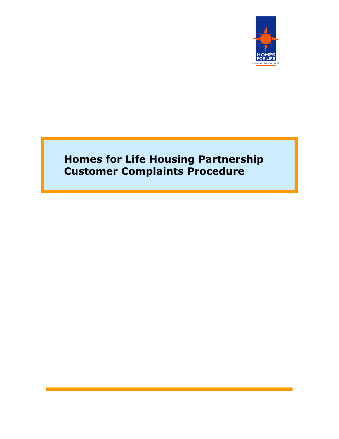

# **Homes for Life Housing Partnership Customer Complaints Procedure**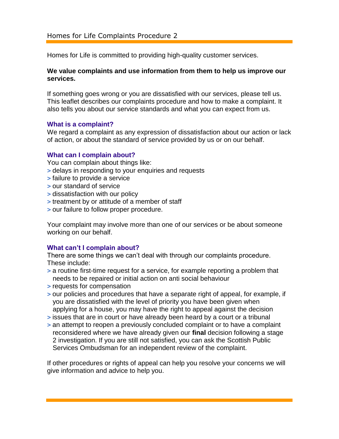# Homes for Life Complaints Procedure 2

Homes for Life is committed to providing high-quality customer services.

## **We value complaints and use information from them to help us improve our services.**

If something goes wrong or you are dissatisfied with our services, please tell us. This leaflet describes our complaints procedure and how to make a complaint. It also tells you about our service standards and what you can expect from us.

#### **What is a complaint?**

We regard a complaint as any expression of dissatisfaction about our action or lack of action, or about the standard of service provided by us or on our behalf.

#### **What can I complain about?**

You can complain about things like:

- **>** delays in responding to your enquiries and requests
- **>** failure to provide a service
- **>** our standard of service
- **>** dissatisfaction with our policy
- **>** treatment by or attitude of a member of staff
- **>** our failure to follow proper procedure.

Your complaint may involve more than one of our services or be about someone working on our behalf.

#### **What can't I complain about?**

There are some things we can't deal with through our complaints procedure. These include:

- **>** a routine first-time request for a service, for example reporting a problem that needs to be repaired or initial action on anti social behaviour
- **>** requests for compensation
- **>** our policies and procedures that have a separate right of appeal, for example, if you are dissatisfied with the level of priority you have been given when applying for a house, you may have the right to appeal against the decision
- **>** issues that are in court or have already been heard by a court or a tribunal
- **>** an attempt to reopen a previously concluded complaint or to have a complaint reconsidered where we have already given our **final** decision following a stage 2 investigation. If you are still not satisfied, you can ask the Scottish Public Services Ombudsman for an independent review of the complaint.

If other procedures or rights of appeal can help you resolve your concerns we will give information and advice to help you.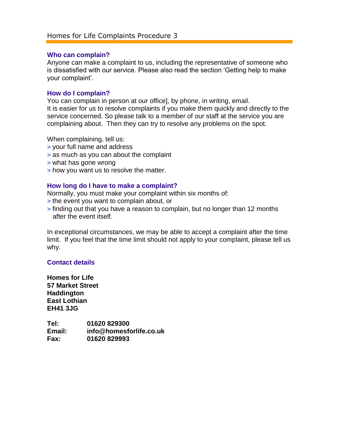#### **Who can complain?**

Anyone can make a complaint to us, including the representative of someone who is dissatisfied with our service. Please also read the section 'Getting help to make your complaint'.

#### **How do I complain?**

You can complain in person at our office], by phone, in writing, email. It is easier for us to resolve complaints if you make them quickly and directly to the service concerned. So please talk to a member of our staff at the service you are complaining about. Then they can try to resolve any problems on the spot.

When complaining, tell us:

- **>** your full name and address
- **>** as much as you can about the complaint
- **>** what has gone wrong
- **>** how you want us to resolve the matter.

#### **How long do I have to make a complaint?**

Normally, you must make your complaint within six months of:

- **>** the event you want to complain about, or
- **>** finding out that you have a reason to complain, but no longer than 12 months after the event itself.

In exceptional circumstances, we may be able to accept a complaint after the time limit. If you feel that the time limit should not apply to your complaint, please tell us why.

#### **Contact details**

**Homes for Life 57 Market Street Haddington East Lothian EH41 3JG**

**Tel: 01620 829300 Email: [info@homesforlife.co.uk](mailto:info@homesforlife.co.uk) Fax: 01620 829993**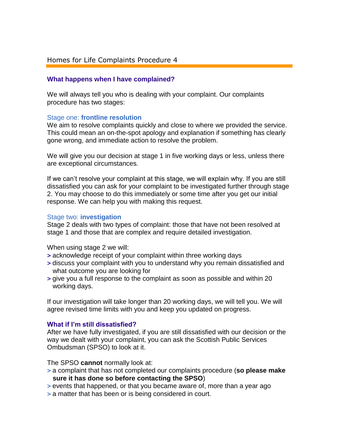## Homes for Life Complaints Procedure 4

## **What happens when I have complained?**

We will always tell you who is dealing with your complaint. Our complaints procedure has two stages:

## Stage one: **frontline resolution**

We aim to resolve complaints quickly and close to where we provided the service. This could mean an on-the-spot apology and explanation if something has clearly gone wrong, and immediate action to resolve the problem.

We will give you our decision at stage 1 in five working days or less, unless there are exceptional circumstances.

If we can't resolve your complaint at this stage, we will explain why. If you are still dissatisfied you can ask for your complaint to be investigated further through stage 2. You may choose to do this immediately or some time after you get our initial response. We can help you with making this request.

#### Stage two: **investigation**

Stage 2 deals with two types of complaint: those that have not been resolved at stage 1 and those that are complex and require detailed investigation.

When using stage 2 we will:

- **>** acknowledge receipt of your complaint within three working days
- **>** discuss your complaint with you to understand why you remain dissatisfied and what outcome you are looking for
- **>** give you a full response to the complaint as soon as possible and within 20 working days.

If our investigation will take longer than 20 working days, we will tell you. We will agree revised time limits with you and keep you updated on progress.

#### **What if I'm still dissatisfied?**

After we have fully investigated, if you are still dissatisfied with our decision or the way we dealt with your complaint, you can ask the Scottish Public Services Ombudsman (SPSO) to look at it.

The SPSO **cannot** normally look at:

- **>** a complaint that has not completed our complaints procedure (**so please make sure it has done so before contacting the SPSO**)
- **>** events that happened, or that you became aware of, more than a year ago
- **>** a matter that has been or is being considered in court.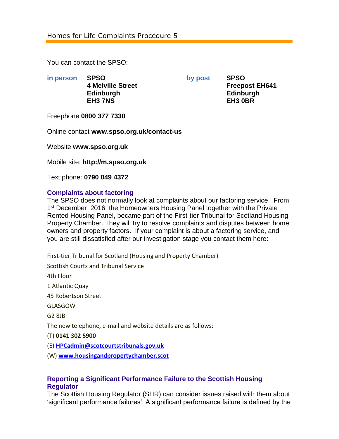You can contact the SPSO:

**in person SPSO by post SPSO Edinburgh Edinburgh EH3 7NS EH3 0BR**

**4 Melville Street Freepost EH641**

Freephone **0800 377 7330**

Online contact **www.spso.org.uk/contact-us**

Website **www.spso.org.uk**

Mobile site: **http://m.spso.org.uk**

Text phone: **0790 049 4372**

## **Complaints about factoring**

The SPSO does not normally look at complaints about our factoring service. From 1<sup>st</sup> December 2016 the Homeowners Housing Panel together with the Private Rented Housing Panel, became part of the First-tier Tribunal for Scotland Housing Property Chamber. They will try to resolve complaints and disputes between home owners and property factors. If your complaint is about a factoring service, and you are still dissatisfied after our investigation stage you contact them here:

First-tier Tribunal for Scotland (Housing and Property Chamber)

Scottish Courts and Tribunal Service

4th Floor

1 Atlantic Quay

45 Robertson Street

GLASGOW

G2 8JB

The new telephone, e-mail and website details are as follows:

(T) **0141 302 5900**

(E) **[HPCadmin@scotcourtstribunals.gov.uk](mailto:HPCadmin@scotcourtstribunals.gov.uk)**

(W) **[www.housingandpropertychamber.scot](http://www.housingandpropertychamber.scot/)**

## **Reporting a Significant Performance Failure to the Scottish Housing Regulator**

The Scottish Housing Regulator (SHR) can consider issues raised with them about 'significant performance failures'. A significant performance failure is defined by the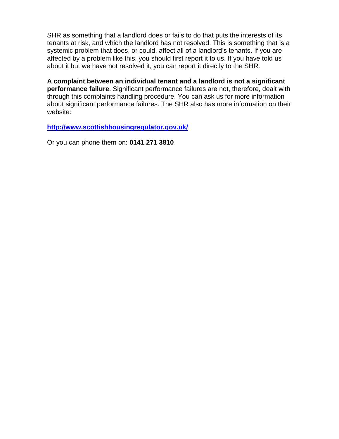SHR as something that a landlord does or fails to do that puts the interests of its tenants at risk, and which the landlord has not resolved. This is something that is a systemic problem that does, or could, affect all of a landlord's tenants. If you are affected by a problem like this, you should first report it to us. If you have told us about it but we have not resolved it, you can report it directly to the SHR.

**A complaint between an individual tenant and a landlord is not a significant performance failure**. Significant performance failures are not, therefore, dealt with through this complaints handling procedure. You can ask us for more information about significant performance failures. The SHR also has more information on their website:

**<http://www.scottishhousingregulator.gov.uk/>**

Or you can phone them on: **0141 271 3810**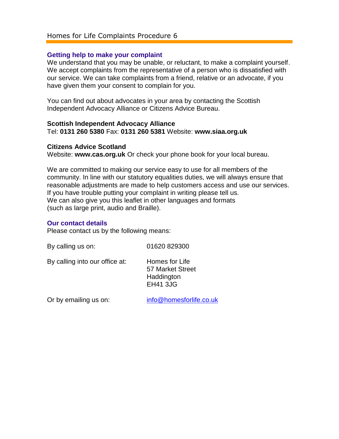#### **Getting help to make your complaint**

We understand that you may be unable, or reluctant, to make a complaint yourself. We accept complaints from the representative of a person who is dissatisfied with our service. We can take complaints from a friend, relative or an advocate, if you have given them your consent to complain for you.

You can find out about advocates in your area by contacting the Scottish Independent Advocacy Alliance or Citizens Advice Bureau.

#### **Scottish Independent Advocacy Alliance**

Tel: **0131 260 5380** Fax: **0131 260 5381** Website: **www.siaa.org.uk**

#### **Citizens Advice Scotland**

Website: **www.cas.org.uk** Or check your phone book for your local bureau.

We are committed to making our service easy to use for all members of the community. In line with our statutory equalities duties, we will always ensure that reasonable adjustments are made to help customers access and use our services. If you have trouble putting your complaint in writing please tell us. We can also give you this leaflet in other languages and formats (such as large print, audio and Braille).

#### **Our contact details**

Please contact us by the following means:

| By calling us on:              | 01620 829300                                                        |
|--------------------------------|---------------------------------------------------------------------|
| By calling into our office at: | Homes for Life<br>57 Market Street<br>Haddington<br><b>EH41 3JG</b> |
|                                |                                                                     |

Or by emailing us on: [info@homesforlife.co.uk](mailto:info@homesforlife.co.uk)